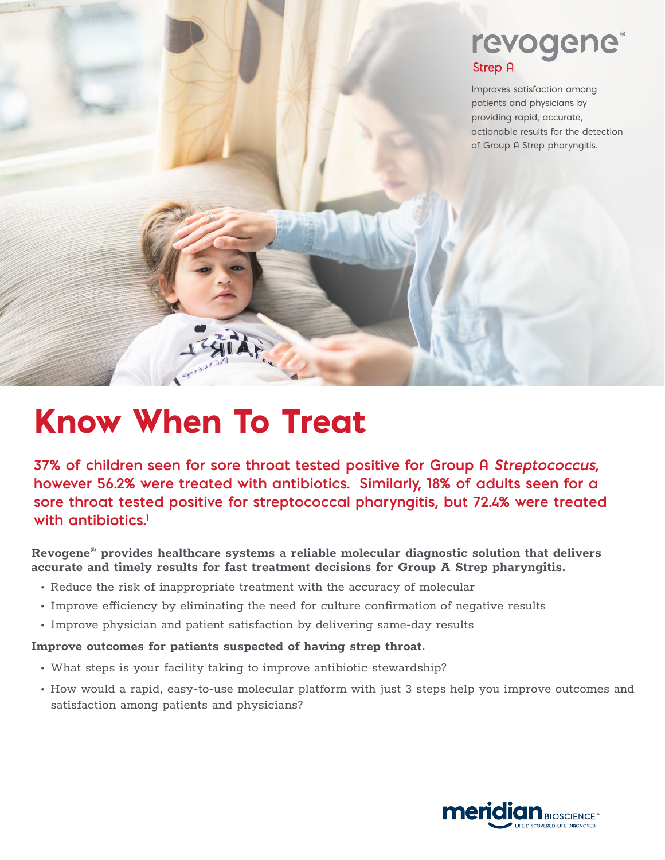## revogene **Strep A**

Improves satisfaction among patients and physicians by providing rapid, accurate, actionable results for the detection of Group A Strep pharyngitis*.*

# Know When To Treat

FATR

**37% of children seen for sore throat tested positive for Group A Streptococcus, however 56.2% were treated with antibiotics. Similarly, 18% of adults seen for a sore throat tested positive for streptococcal pharyngitis, but 72.4% were treated with antibiotics.1**

**Revogene® provides healthcare systems a reliable molecular diagnostic solution that delivers accurate and timely results for fast treatment decisions for Group A Strep pharyngitis.**

- Reduce the risk of inappropriate treatment with the accuracy of molecular
- Improve efficiency by eliminating the need for culture confirmation of negative results
- Improve physician and patient satisfaction by delivering same-day results

#### **Improve outcomes for patients suspected of having strep throat.**

- What steps is your facility taking to improve antibiotic stewardship?
- How would a rapid, easy-to-use molecular platform with just 3 steps help you improve outcomes and satisfaction among patients and physicians?